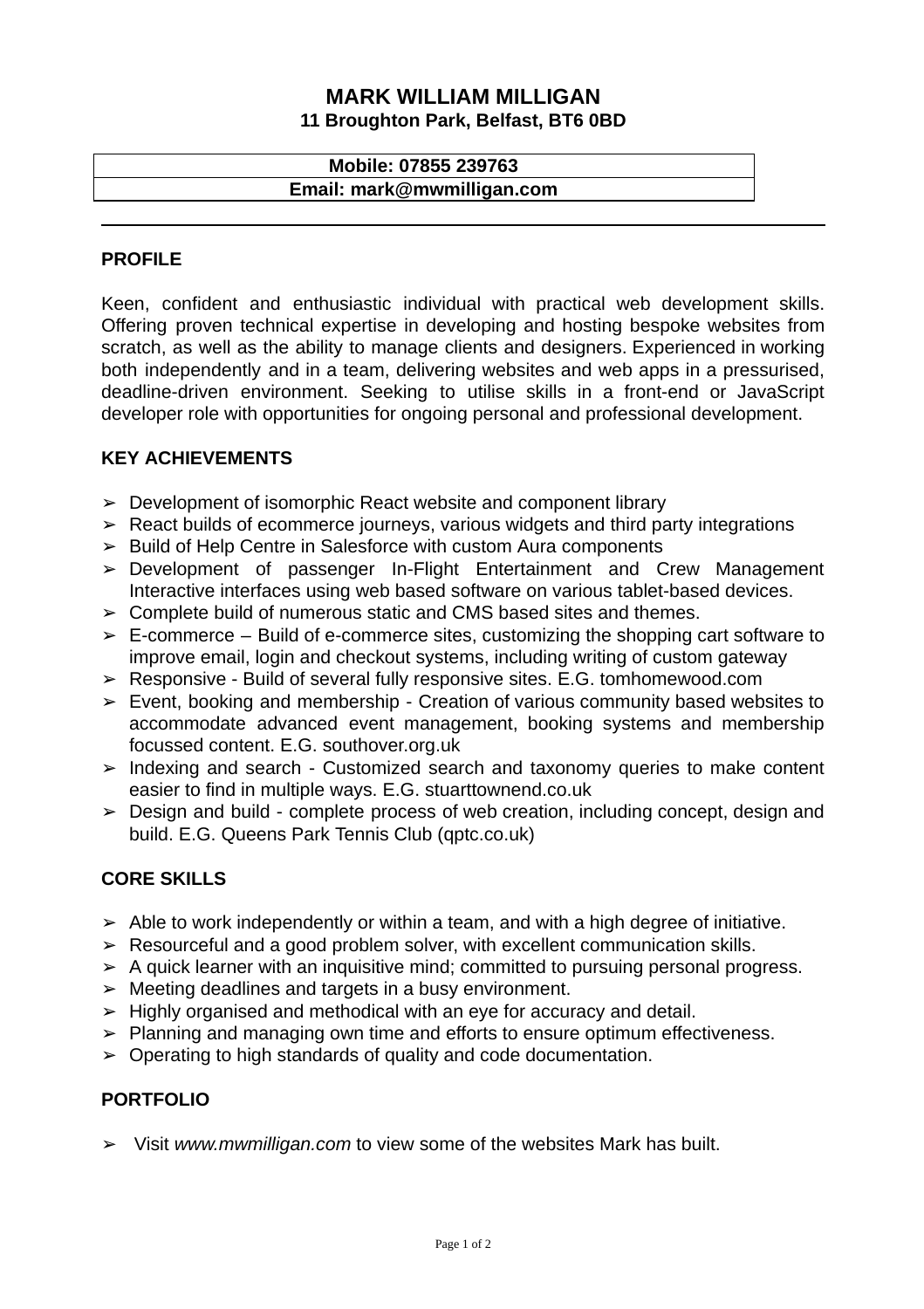## **MARK WILLIAM MILLIGAN 11 Broughton Park, Belfast, BT6 0BD**

# **Mobile: 07855 239763 Email: mark@mwmilligan.com**

## **PROFILE**

Keen, confident and enthusiastic individual with practical web development skills. Offering proven technical expertise in developing and hosting bespoke websites from scratch, as well as the ability to manage clients and designers. Experienced in working both independently and in a team, delivering websites and web apps in a pressurised, deadline-driven environment. Seeking to utilise skills in a front-end or JavaScript developer role with opportunities for ongoing personal and professional development.

## **KEY ACHIEVEMENTS**

- ➢ Development of isomorphic React website and component library
- ➢ React builds of ecommerce journeys, various widgets and third party integrations
- ➢ Build of Help Centre in Salesforce with custom Aura components
- ➢ Development of passenger In-Flight Entertainment and Crew Management Interactive interfaces using web based software on various tablet-based devices.
- $\geq$  Complete build of numerous static and CMS based sites and themes.
- $\geq$  E-commerce Build of e-commerce sites, customizing the shopping cart software to improve email, login and checkout systems, including writing of custom gateway
- ➢ Responsive Build of several fully responsive sites. E.G. tomhomewood.com
- $\geq$  Event, booking and membership Creation of various community based websites to accommodate advanced event management, booking systems and membership focussed content. E.G. southover.org.uk
- ➢ Indexing and search Customized search and taxonomy queries to make content easier to find in multiple ways. E.G. stuarttownend.co.uk
- ➢ Design and build complete process of web creation, including concept, design and build. E.G. Queens Park Tennis Club (qptc.co.uk)

#### **CORE SKILLS**

- $\geq$  Able to work independently or within a team, and with a high degree of initiative.
- ➢ Resourceful and a good problem solver, with excellent communication skills.
- $\geq$  A quick learner with an inquisitive mind; committed to pursuing personal progress.
- $\triangleright$  Meeting deadlines and targets in a busy environment.
- ➢ Highly organised and methodical with an eye for accuracy and detail.
- ➢ Planning and managing own time and efforts to ensure optimum effectiveness.
- $\geq$  Operating to high standards of quality and code documentation.

#### **PORTFOLIO**

➢ Visit *[www.mwmilligan.com](http://www.mwmilligan.com/)* to view some of the websites Mark has built.